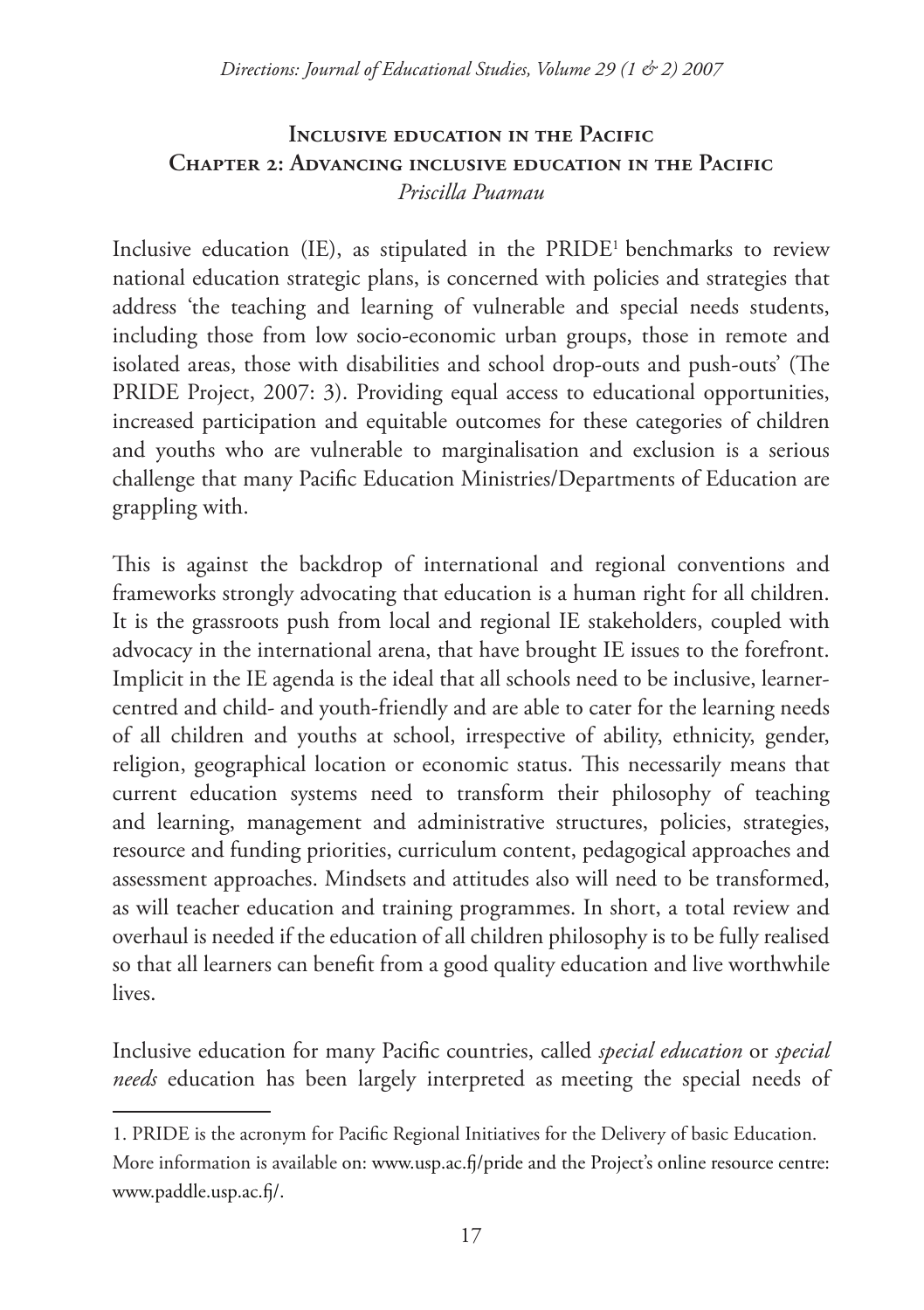### **INCLUSIVE EDUCATION IN THE PACIFIC Chapter 2: Advancing inclusive education in the Pacific** *Priscilla Puamau*

Inclusive education (IE), as stipulated in the PRIDE1 benchmarks to review national education strategic plans, is concerned with policies and strategies that address 'the teaching and learning of vulnerable and special needs students, including those from low socio-economic urban groups, those in remote and isolated areas, those with disabilities and school drop-outs and push-outs' (The PRIDE Project, 2007: 3). Providing equal access to educational opportunities, increased participation and equitable outcomes for these categories of children and youths who are vulnerable to marginalisation and exclusion is a serious challenge that many Pacific Education Ministries/Departments of Education are grappling with.

This is against the backdrop of international and regional conventions and frameworks strongly advocating that education is a human right for all children. It is the grassroots push from local and regional IE stakeholders, coupled with advocacy in the international arena, that have brought IE issues to the forefront. Implicit in the IE agenda is the ideal that all schools need to be inclusive, learnercentred and child- and youth-friendly and are able to cater for the learning needs of all children and youths at school, irrespective of ability, ethnicity, gender, religion, geographical location or economic status. This necessarily means that current education systems need to transform their philosophy of teaching and learning, management and administrative structures, policies, strategies, resource and funding priorities, curriculum content, pedagogical approaches and assessment approaches. Mindsets and attitudes also will need to be transformed, as will teacher education and training programmes. In short, a total review and overhaul is needed if the education of all children philosophy is to be fully realised so that all learners can benefit from a good quality education and live worthwhile lives.

Inclusive education for many Pacific countries, called *special education* or *special needs* education has been largely interpreted as meeting the special needs of

<sup>1.</sup> PRIDE is the acronym for Pacific Regional Initiatives for the Delivery of basic Education.

More information is available on: www.usp.ac.fj/pride and the Project's online resource centre: www.paddle.usp.ac.fj/.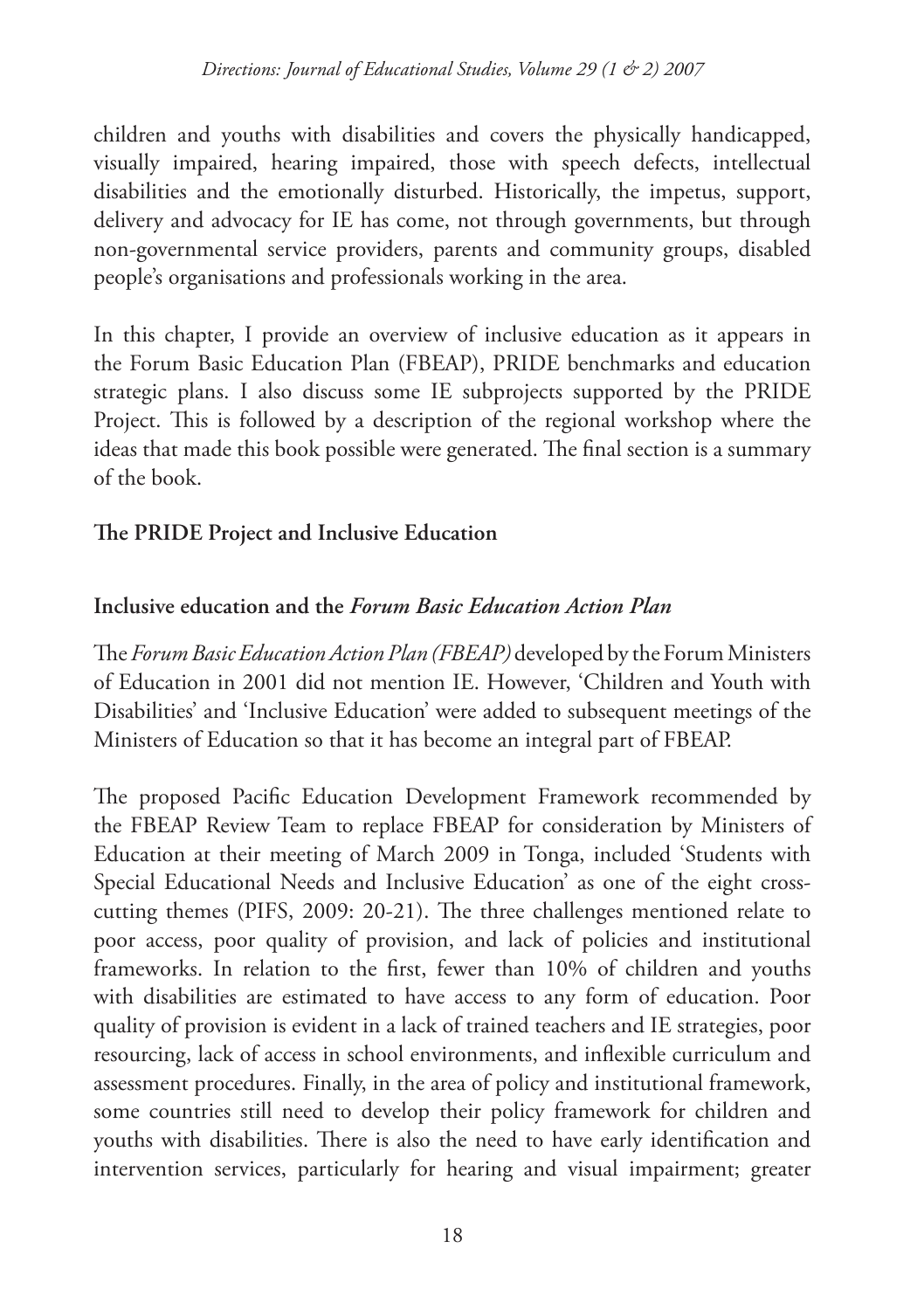children and youths with disabilities and covers the physically handicapped, visually impaired, hearing impaired, those with speech defects, intellectual disabilities and the emotionally disturbed. Historically, the impetus, support, delivery and advocacy for IE has come, not through governments, but through non-governmental service providers, parents and community groups, disabled people's organisations and professionals working in the area.

In this chapter, I provide an overview of inclusive education as it appears in the Forum Basic Education Plan (FBEAP), PRIDE benchmarks and education strategic plans. I also discuss some IE subprojects supported by the PRIDE Project. This is followed by a description of the regional workshop where the ideas that made this book possible were generated. The final section is a summary of the book.

### **The PRIDE Project and Inclusive Education**

#### **Inclusive education and the** *Forum Basic Education Action Plan*

The *Forum Basic Education Action Plan (FBEAP)* developed by the Forum Ministers of Education in 2001 did not mention IE. However, 'Children and Youth with Disabilities' and 'Inclusive Education' were added to subsequent meetings of the Ministers of Education so that it has become an integral part of FBEAP.

The proposed Pacific Education Development Framework recommended by the FBEAP Review Team to replace FBEAP for consideration by Ministers of Education at their meeting of March 2009 in Tonga, included 'Students with Special Educational Needs and Inclusive Education' as one of the eight crosscutting themes (PIFS, 2009: 20-21). The three challenges mentioned relate to poor access, poor quality of provision, and lack of policies and institutional frameworks. In relation to the first, fewer than 10% of children and youths with disabilities are estimated to have access to any form of education. Poor quality of provision is evident in a lack of trained teachers and IE strategies, poor resourcing, lack of access in school environments, and inflexible curriculum and assessment procedures. Finally, in the area of policy and institutional framework, some countries still need to develop their policy framework for children and youths with disabilities. There is also the need to have early identification and intervention services, particularly for hearing and visual impairment; greater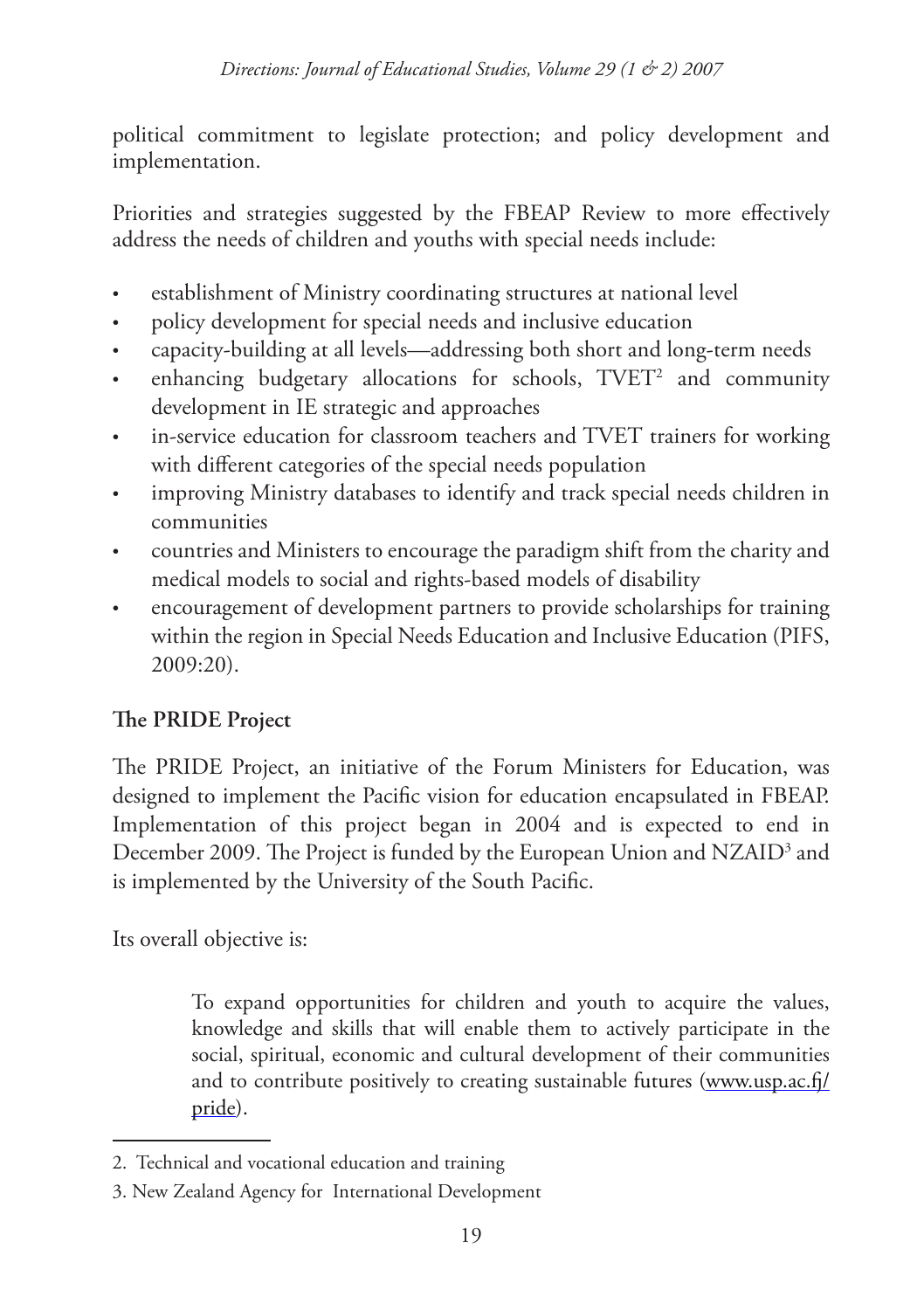political commitment to legislate protection; and policy development and implementation.

Priorities and strategies suggested by the FBEAP Review to more effectively address the needs of children and youths with special needs include:

- establishment of Ministry coordinating structures at national level •
- policy development for special needs and inclusive education •
- capacity-building at all levels—addressing both short and long-term needs •
- enhancing budgetary allocations for schools, TVET<sup>2</sup> and community development in IE strategic and approaches •
- in-service education for classroom teachers and TVET trainers for working with different categories of the special needs population •
- improving Ministry databases to identify and track special needs children in communities •
- countries and Ministers to encourage the paradigm shift from the charity and medical models to social and rights-based models of disability •
- encouragement of development partners to provide scholarships for training within the region in Special Needs Education and Inclusive Education (PIFS, 2009:20). •

# **The PRIDE Project**

The PRIDE Project, an initiative of the Forum Ministers for Education, was designed to implement the Pacific vision for education encapsulated in FBEAP. Implementation of this project began in 2004 and is expected to end in December 2009. The Project is funded by the European Union and NZAID<sup>3</sup> and is implemented by the University of the South Pacific.

Its overall objective is:

To expand opportunities for children and youth to acquire the values, knowledge and skills that will enable them to actively participate in the social, spiritual, economic and cultural development of their communities and to contribute positively to creating sustainable futures (www.usp.ac.fj/ pride).

<sup>2.</sup> Technical and vocational education and training

<sup>3.</sup> New Zealand Agency for International Development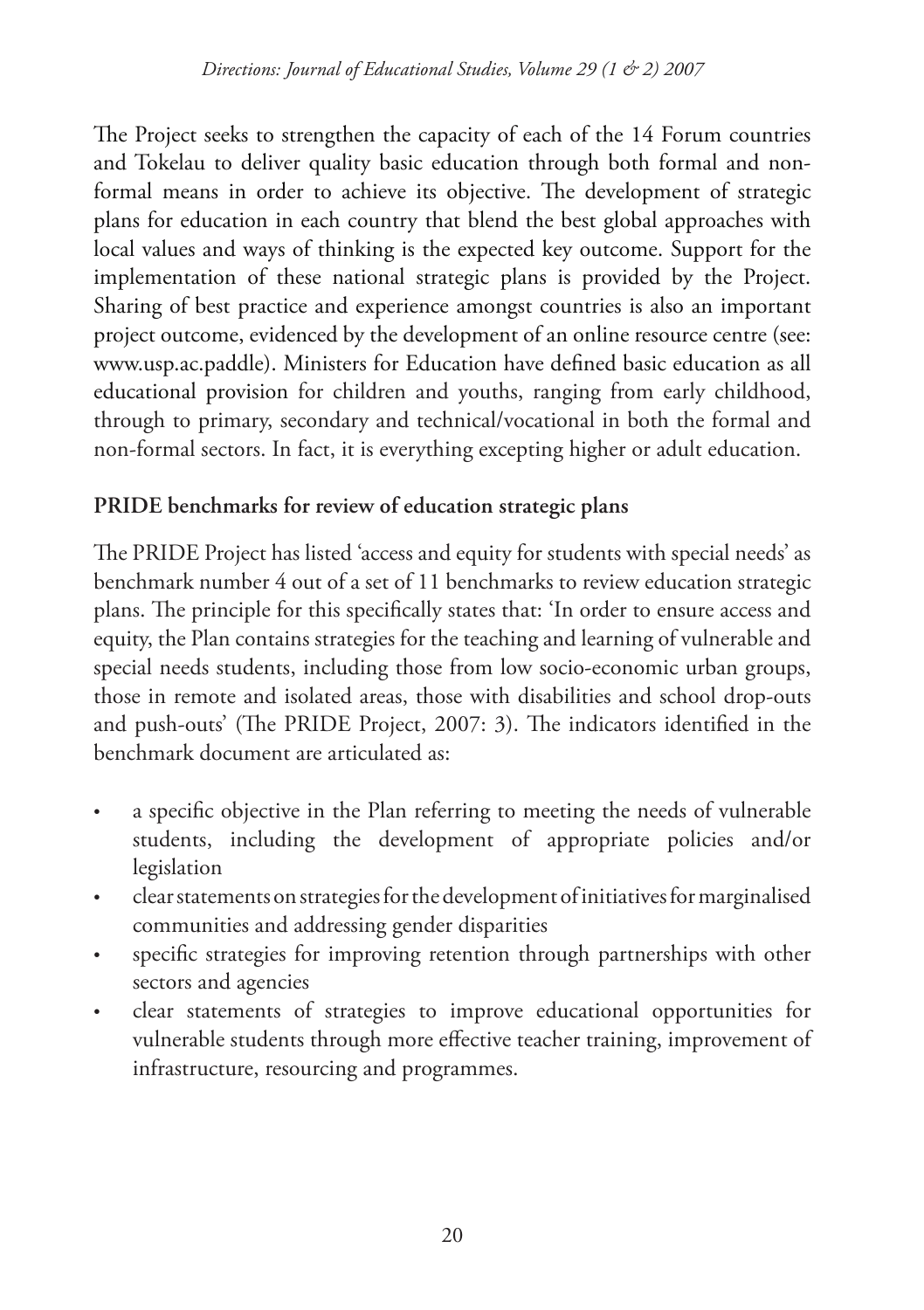The Project seeks to strengthen the capacity of each of the 14 Forum countries and Tokelau to deliver quality basic education through both formal and nonformal means in order to achieve its objective. The development of strategic plans for education in each country that blend the best global approaches with local values and ways of thinking is the expected key outcome. Support for the implementation of these national strategic plans is provided by the Project. Sharing of best practice and experience amongst countries is also an important project outcome, evidenced by the development of an online resource centre (see: www.usp.ac.paddle). Ministers for Education have defined basic education as all educational provision for children and youths, ranging from early childhood, through to primary, secondary and technical/vocational in both the formal and non-formal sectors. In fact, it is everything excepting higher or adult education.

# **PRIDE benchmarks for review of education strategic plans**

The PRIDE Project has listed 'access and equity for students with special needs' as benchmark number 4 out of a set of 11 benchmarks to review education strategic plans. The principle for this specifically states that: 'In order to ensure access and equity, the Plan contains strategies for the teaching and learning of vulnerable and special needs students, including those from low socio-economic urban groups, those in remote and isolated areas, those with disabilities and school drop-outs and push-outs' (The PRIDE Project, 2007: 3). The indicators identified in the benchmark document are articulated as:

- a specific objective in the Plan referring to meeting the needs of vulnerable students, including the development of appropriate policies and/or legislation •
- clear statements on strategies for the development of initiatives for marginalised communities and addressing gender disparities •
- specific strategies for improving retention through partnerships with other sectors and agencies •
- clear statements of strategies to improve educational opportunities for vulnerable students through more effective teacher training, improvement of infrastructure, resourcing and programmes. •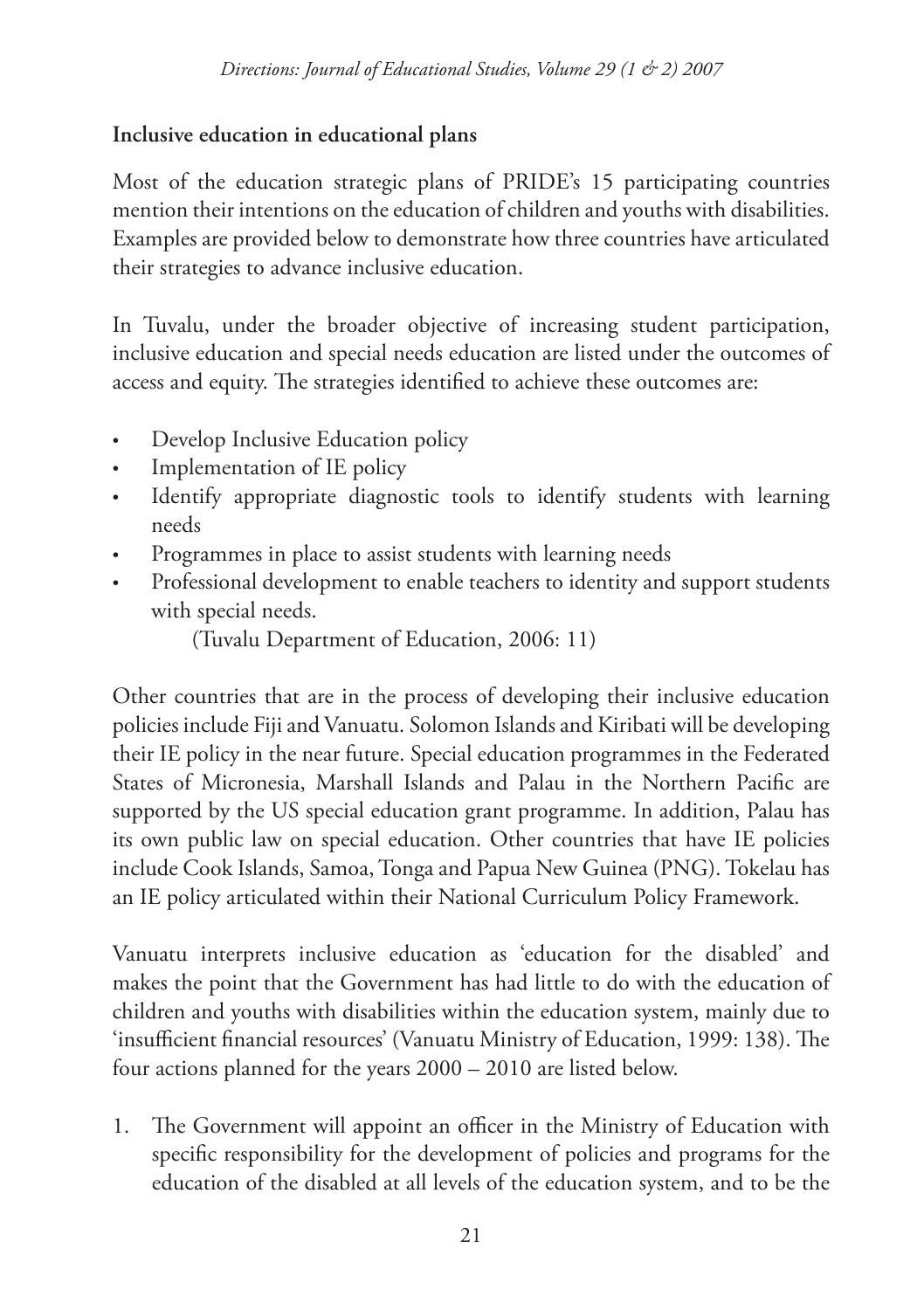## **Inclusive education in educational plans**

Most of the education strategic plans of PRIDE's 15 participating countries mention their intentions on the education of children and youths with disabilities. Examples are provided below to demonstrate how three countries have articulated their strategies to advance inclusive education.

In Tuvalu, under the broader objective of increasing student participation, inclusive education and special needs education are listed under the outcomes of access and equity. The strategies identified to achieve these outcomes are:

- Develop Inclusive Education policy •
- Implementation of IE policy •
- Identify appropriate diagnostic tools to identify students with learning needs •
- Programmes in place to assist students with learning needs •
- Professional development to enable teachers to identity and support students with special needs. •

(Tuvalu Department of Education, 2006: 11)

Other countries that are in the process of developing their inclusive education policies include Fiji and Vanuatu. Solomon Islands and Kiribati will be developing their IE policy in the near future. Special education programmes in the Federated States of Micronesia, Marshall Islands and Palau in the Northern Pacific are supported by the US special education grant programme. In addition, Palau has its own public law on special education. Other countries that have IE policies include Cook Islands, Samoa, Tonga and Papua New Guinea (PNG). Tokelau has an IE policy articulated within their National Curriculum Policy Framework.

Vanuatu interprets inclusive education as 'education for the disabled' and makes the point that the Government has had little to do with the education of children and youths with disabilities within the education system, mainly due to 'insufficient financial resources' (Vanuatu Ministry of Education, 1999: 138). The four actions planned for the years 2000 – 2010 are listed below.

1. The Government will appoint an officer in the Ministry of Education with specific responsibility for the development of policies and programs for the education of the disabled at all levels of the education system, and to be the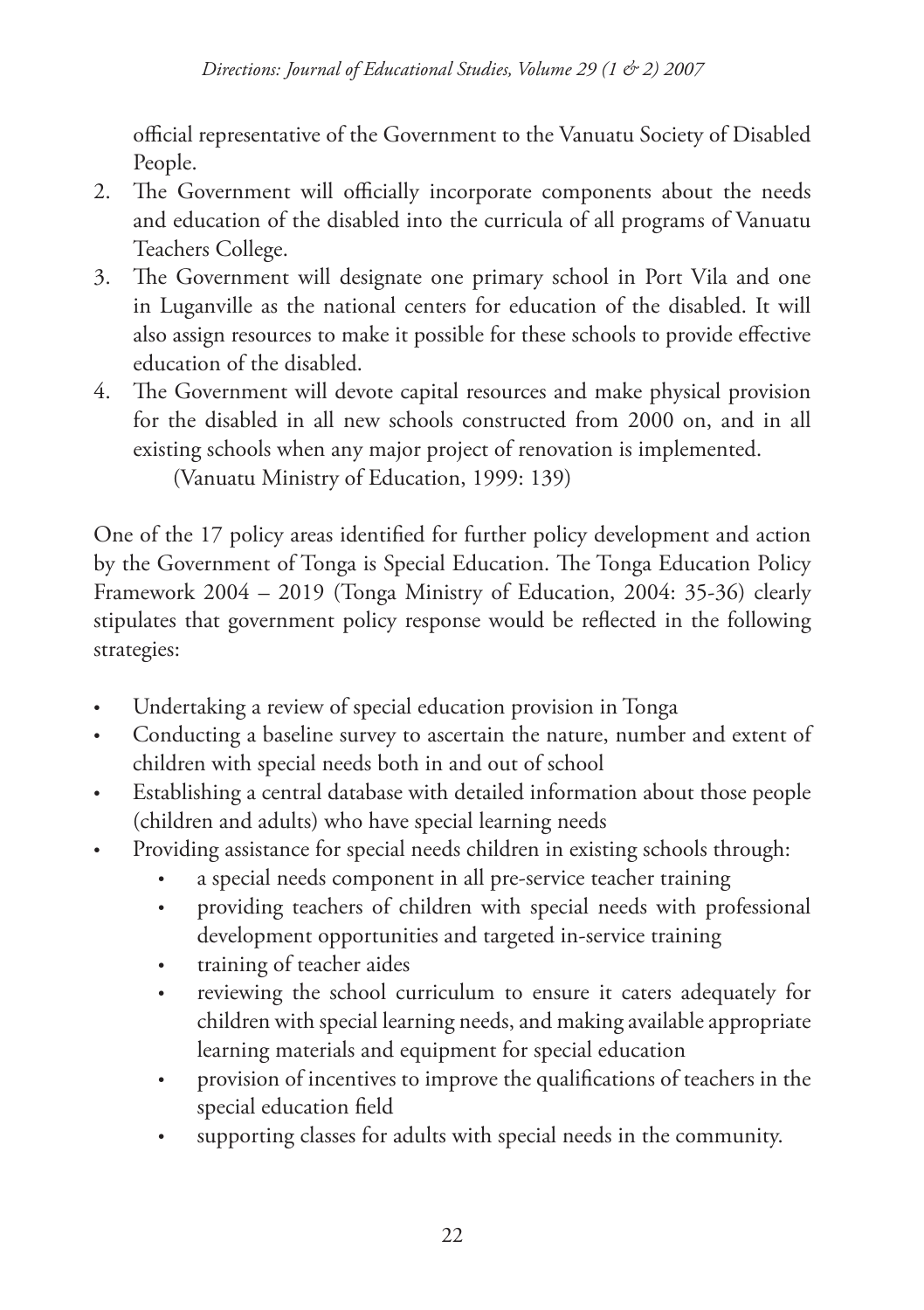official representative of the Government to the Vanuatu Society of Disabled People.

- The Government will officially incorporate components about the needs 2. and education of the disabled into the curricula of all programs of Vanuatu Teachers College.
- The Government will designate one primary school in Port Vila and one in Luganville as the national centers for education of the disabled. It will also assign resources to make it possible for these schools to provide effective education of the disabled. 3.
- The Government will devote capital resources and make physical provision 4. for the disabled in all new schools constructed from 2000 on, and in all existing schools when any major project of renovation is implemented.

(Vanuatu Ministry of Education, 1999: 139)

One of the 17 policy areas identified for further policy development and action by the Government of Tonga is Special Education. The Tonga Education Policy Framework 2004 – 2019 (Tonga Ministry of Education, 2004: 35-36) clearly stipulates that government policy response would be reflected in the following strategies:

- Undertaking a review of special education provision in Tonga •
- Conducting a baseline survey to ascertain the nature, number and extent of children with special needs both in and out of school •
- Establishing a central database with detailed information about those people (children and adults) who have special learning needs •
- Providing assistance for special needs children in existing schools through: •
	- a special needs component in all pre-service teacher training •
	- providing teachers of children with special needs with professional development opportunities and targeted in-service training •
	- training of teacher aides •
	- reviewing the school curriculum to ensure it caters adequately for children with special learning needs, and making available appropriate learning materials and equipment for special education •
	- provision of incentives to improve the qualifications of teachers in the special education field •
	- supporting classes for adults with special needs in the community. •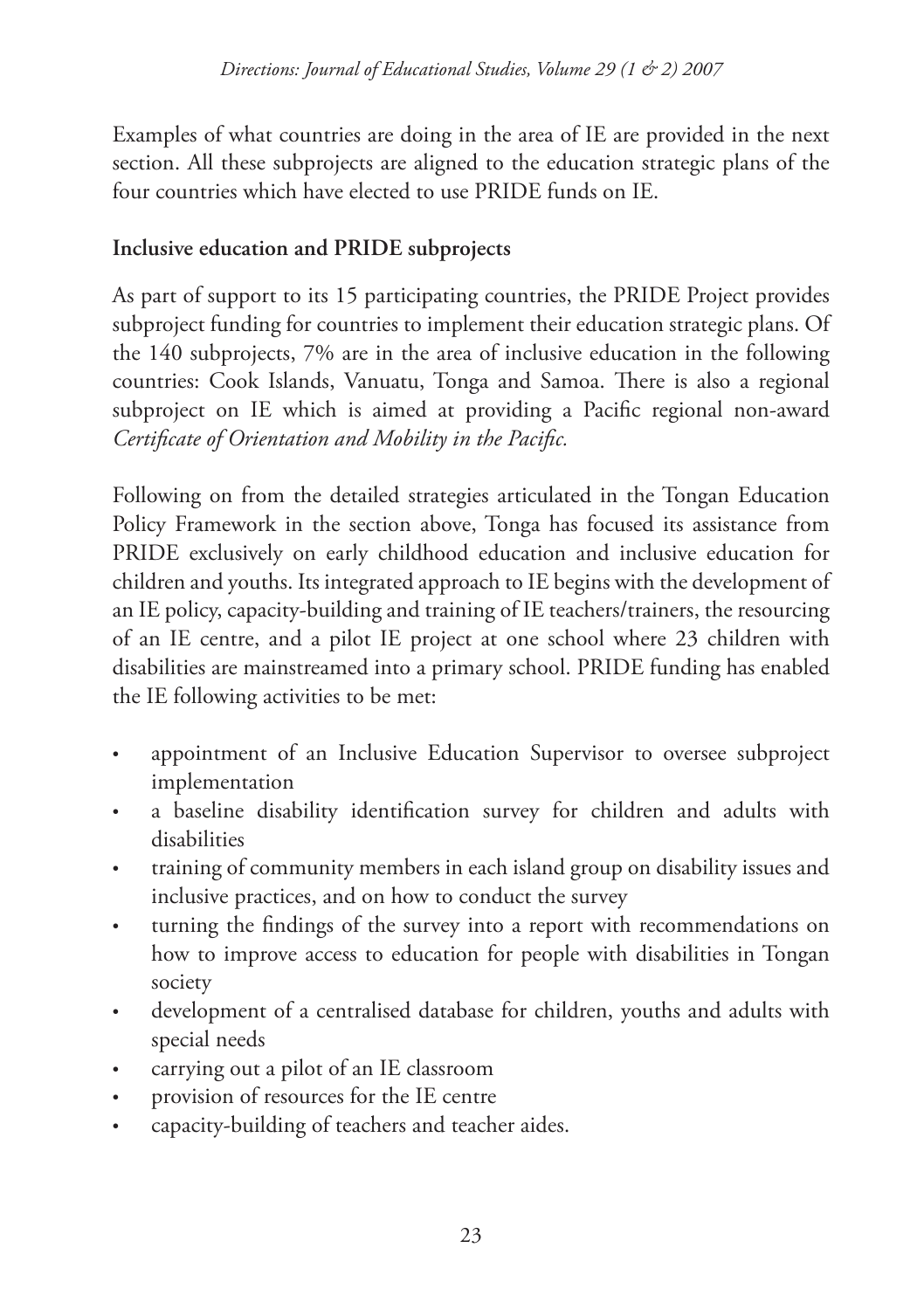Examples of what countries are doing in the area of IE are provided in the next section. All these subprojects are aligned to the education strategic plans of the four countries which have elected to use PRIDE funds on IE.

# **Inclusive education and PRIDE subprojects**

As part of support to its 15 participating countries, the PRIDE Project provides subproject funding for countries to implement their education strategic plans. Of the 140 subprojects, 7% are in the area of inclusive education in the following countries: Cook Islands, Vanuatu, Tonga and Samoa. There is also a regional subproject on IE which is aimed at providing a Pacific regional non-award *Certificate of Orientation and Mobility in the Pacific.*

Following on from the detailed strategies articulated in the Tongan Education Policy Framework in the section above, Tonga has focused its assistance from PRIDE exclusively on early childhood education and inclusive education for children and youths. Its integrated approach to IE begins with the development of an IE policy, capacity-building and training of IE teachers/trainers, the resourcing of an IE centre, and a pilot IE project at one school where 23 children with disabilities are mainstreamed into a primary school. PRIDE funding has enabled the IE following activities to be met:

- appointment of an Inclusive Education Supervisor to oversee subproject implementation •
- a baseline disability identification survey for children and adults with disabilities •
- training of community members in each island group on disability issues and inclusive practices, and on how to conduct the survey •
- turning the findings of the survey into a report with recommendations on how to improve access to education for people with disabilities in Tongan society •
- development of a centralised database for children, youths and adults with special needs •
- carrying out a pilot of an IE classroom •
- provision of resources for the IE centre •
- capacity-building of teachers and teacher aides. •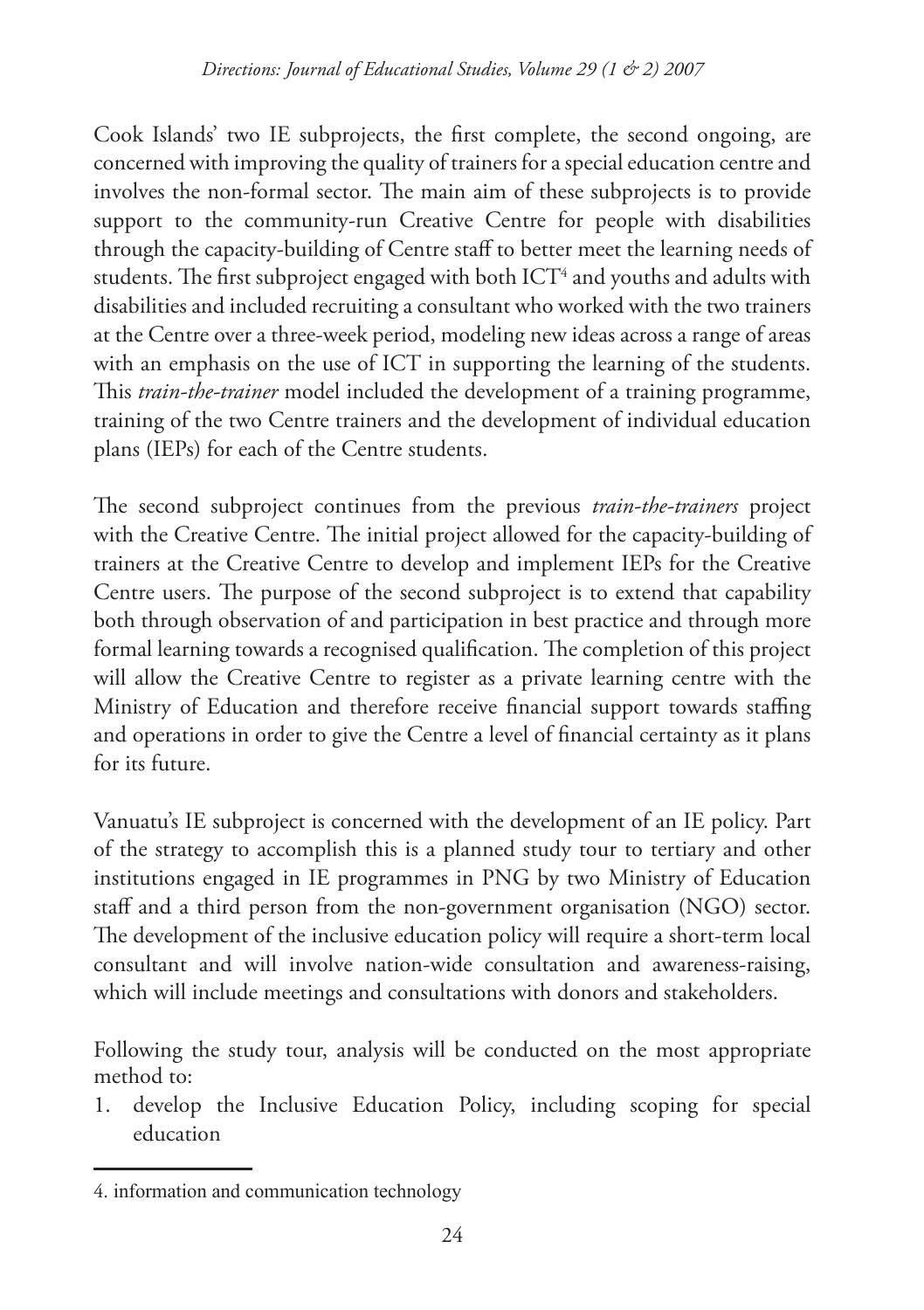Cook Islands' two IE subprojects, the first complete, the second ongoing, are concerned with improving the quality of trainers for a special education centre and involves the non-formal sector. The main aim of these subprojects is to provide support to the community-run Creative Centre for people with disabilities through the capacity-building of Centre staff to better meet the learning needs of students. The first subproject engaged with both ICT<sup>4</sup> and youths and adults with disabilities and included recruiting a consultant who worked with the two trainers at the Centre over a three-week period, modeling new ideas across a range of areas with an emphasis on the use of ICT in supporting the learning of the students. This *train-the-trainer* model included the development of a training programme, training of the two Centre trainers and the development of individual education plans (IEPs) for each of the Centre students.

The second subproject continues from the previous *train-the-trainers* project with the Creative Centre. The initial project allowed for the capacity-building of trainers at the Creative Centre to develop and implement IEPs for the Creative Centre users. The purpose of the second subproject is to extend that capability both through observation of and participation in best practice and through more formal learning towards a recognised qualification. The completion of this project will allow the Creative Centre to register as a private learning centre with the Ministry of Education and therefore receive financial support towards staffing and operations in order to give the Centre a level of financial certainty as it plans for its future.

Vanuatu's IE subproject is concerned with the development of an IE policy. Part of the strategy to accomplish this is a planned study tour to tertiary and other institutions engaged in IE programmes in PNG by two Ministry of Education staff and a third person from the non-government organisation (NGO) sector. The development of the inclusive education policy will require a short-term local consultant and will involve nation-wide consultation and awareness-raising, which will include meetings and consultations with donors and stakeholders.

Following the study tour, analysis will be conducted on the most appropriate method to:

develop the Inclusive Education Policy, including scoping for special education 1.

<sup>4.</sup> information and communication technology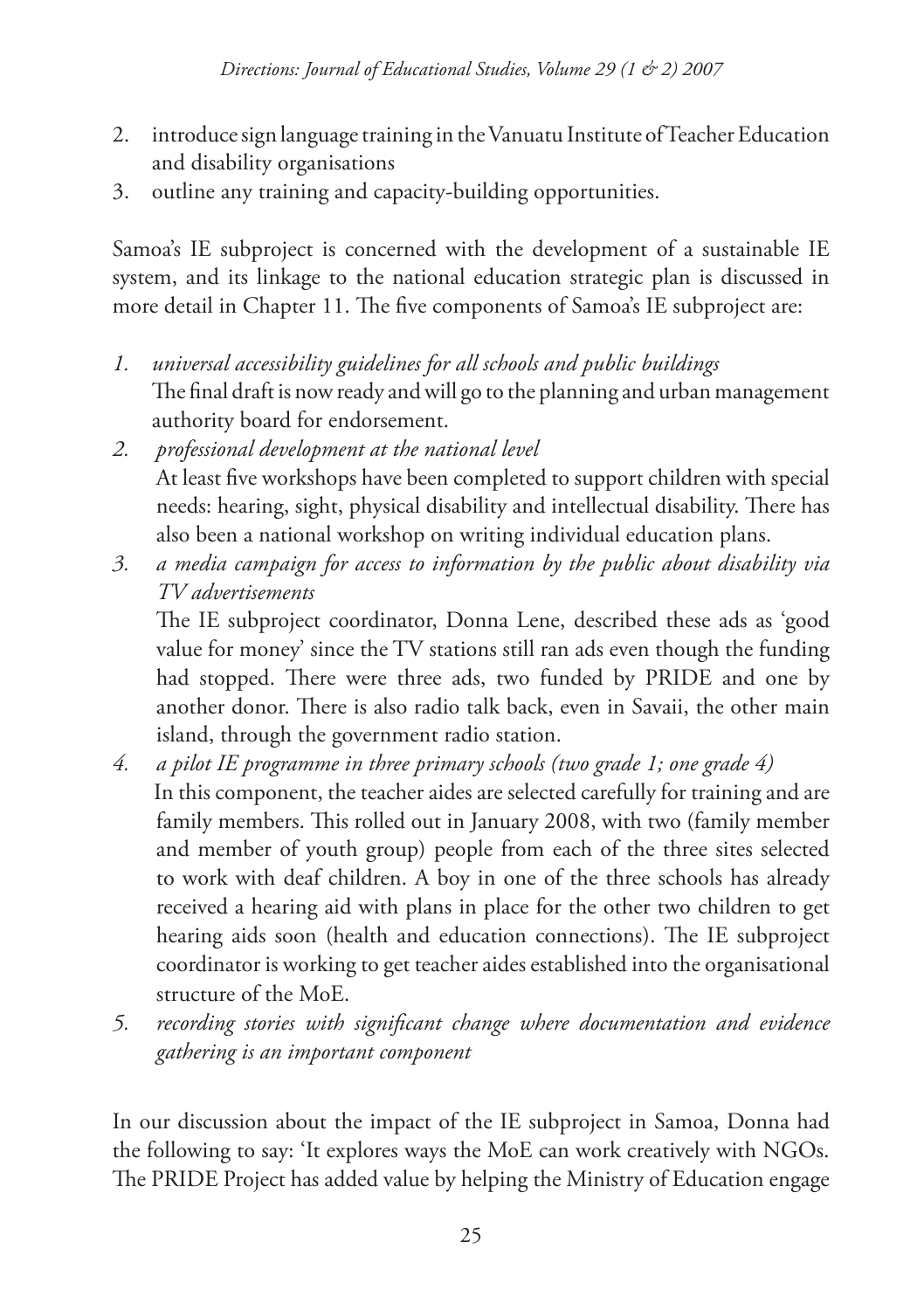- introduce sign language training in the Vanuatu Institute of Teacher Education and disability organisations 2.
- outline any training and capacity-building opportunities. 3.

Samoa's IE subproject is concerned with the development of a sustainable IE system, and its linkage to the national education strategic plan is discussed in more detail in Chapter 11. The five components of Samoa's IE subproject are:

- *universal accessibility guidelines for all schools and public buildings*  The final draft is now ready and will go to the planning and urban management authority board for endorsement. *1.*
- *professional development at the national level*  At least five workshops have been completed to support children with special needs: hearing, sight, physical disability and intellectual disability. There has also been a national workshop on writing individual education plans. *2.*
- *a media campaign for access to information by the public about disability via TV advertisements 3.*

The IE subproject coordinator, Donna Lene, described these ads as 'good value for money' since the TV stations still ran ads even though the funding had stopped. There were three ads, two funded by PRIDE and one by another donor. There is also radio talk back, even in Savaii, the other main island, through the government radio station.

- *a pilot IE programme in three primary schools (two grade 1; one grade 4)*  In this component, the teacher aides are selected carefully for training and are family members. This rolled out in January 2008, with two (family member and member of youth group) people from each of the three sites selected to work with deaf children. A boy in one of the three schools has already received a hearing aid with plans in place for the other two children to get hearing aids soon (health and education connections). The IE subproject coordinator is working to get teacher aides established into the organisational structure of the MoE. *4.*
- *recording stories with significant change where documentation and evidence gathering is an important component 5.*

In our discussion about the impact of the IE subproject in Samoa, Donna had the following to say: 'It explores ways the MoE can work creatively with NGOs. The PRIDE Project has added value by helping the Ministry of Education engage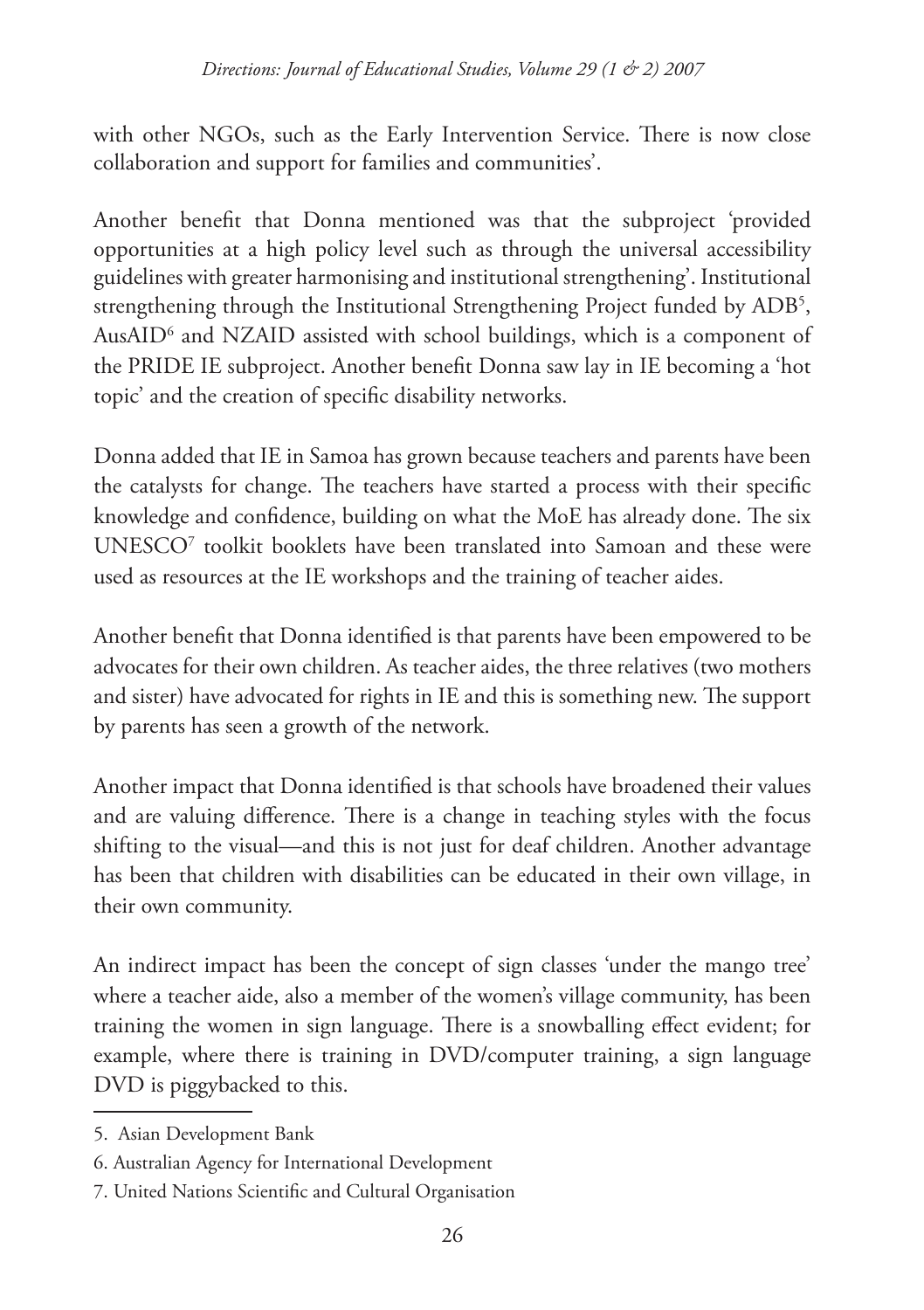with other NGOs, such as the Early Intervention Service. There is now close collaboration and support for families and communities'.

Another benefit that Donna mentioned was that the subproject 'provided opportunities at a high policy level such as through the universal accessibility guidelines with greater harmonising and institutional strengthening'. Institutional strengthening through the Institutional Strengthening Project funded by ADB5 , AusAID6 and NZAID assisted with school buildings, which is a component of the PRIDE IE subproject. Another benefit Donna saw lay in IE becoming a 'hot topic' and the creation of specific disability networks.

Donna added that IE in Samoa has grown because teachers and parents have been the catalysts for change. The teachers have started a process with their specific knowledge and confidence, building on what the MoE has already done. The six UNESCO7 toolkit booklets have been translated into Samoan and these were used as resources at the IE workshops and the training of teacher aides.

Another benefit that Donna identified is that parents have been empowered to be advocates for their own children. As teacher aides, the three relatives (two mothers and sister) have advocated for rights in IE and this is something new. The support by parents has seen a growth of the network.

Another impact that Donna identified is that schools have broadened their values and are valuing difference. There is a change in teaching styles with the focus shifting to the visual—and this is not just for deaf children. Another advantage has been that children with disabilities can be educated in their own village, in their own community.

An indirect impact has been the concept of sign classes 'under the mango tree' where a teacher aide, also a member of the women's village community, has been training the women in sign language. There is a snowballing effect evident; for example, where there is training in DVD/computer training, a sign language DVD is piggybacked to this.

<sup>5.</sup> Asian Development Bank

<sup>6.</sup> Australian Agency for International Development

<sup>7.</sup> United Nations Scientific and Cultural Organisation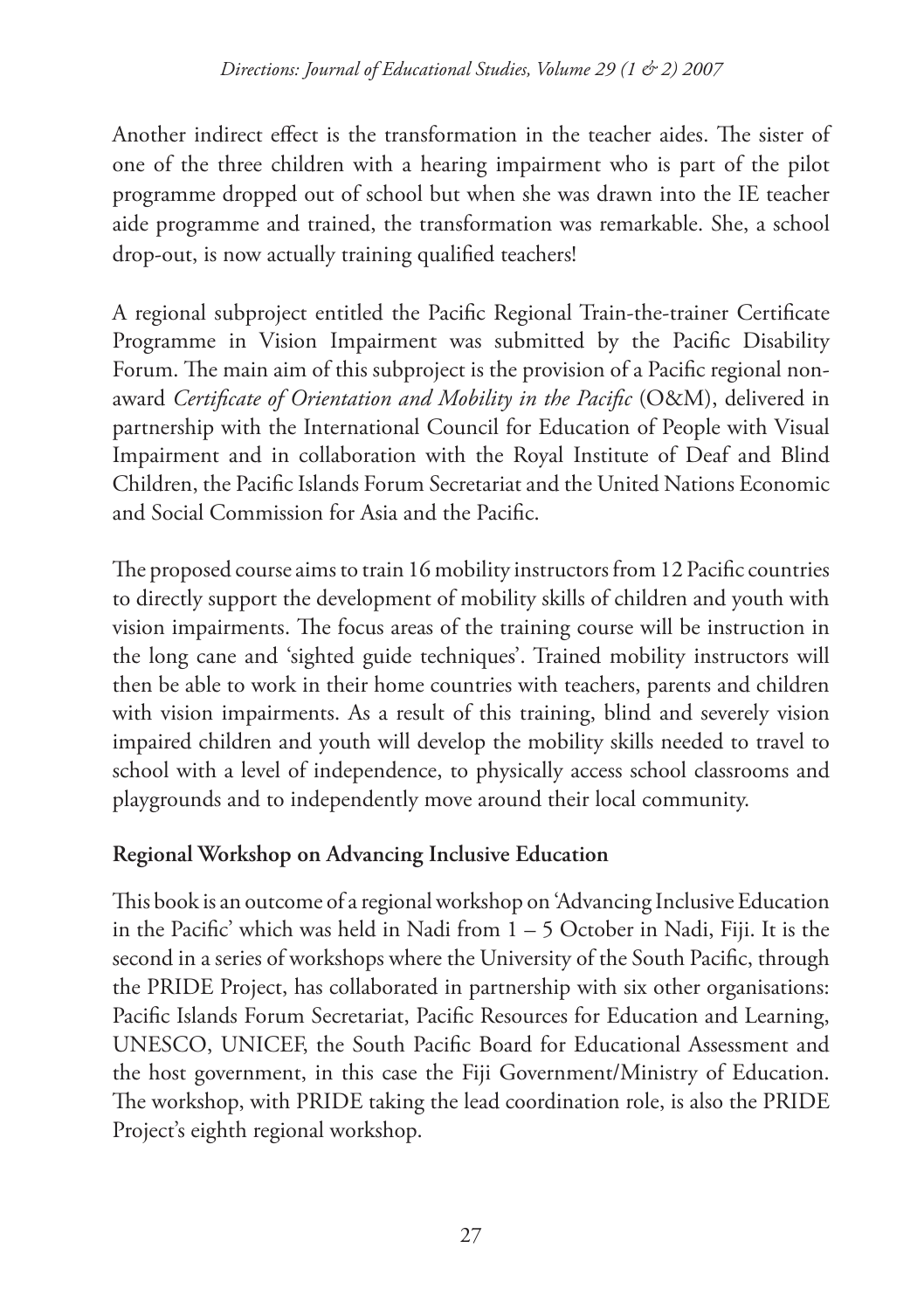Another indirect effect is the transformation in the teacher aides. The sister of one of the three children with a hearing impairment who is part of the pilot programme dropped out of school but when she was drawn into the IE teacher aide programme and trained, the transformation was remarkable. She, a school drop-out, is now actually training qualified teachers!

A regional subproject entitled the Pacific Regional Train-the-trainer Certificate Programme in Vision Impairment was submitted by the Pacific Disability Forum. The main aim of this subproject is the provision of a Pacific regional nonaward *Certificate of Orientation and Mobility in the Pacific* (O&M), delivered in partnership with the International Council for Education of People with Visual Impairment and in collaboration with the Royal Institute of Deaf and Blind Children, the Pacific Islands Forum Secretariat and the United Nations Economic and Social Commission for Asia and the Pacific.

The proposed course aims to train 16 mobility instructors from 12 Pacific countries to directly support the development of mobility skills of children and youth with vision impairments. The focus areas of the training course will be instruction in the long cane and 'sighted guide techniques'. Trained mobility instructors will then be able to work in their home countries with teachers, parents and children with vision impairments. As a result of this training, blind and severely vision impaired children and youth will develop the mobility skills needed to travel to school with a level of independence, to physically access school classrooms and playgrounds and to independently move around their local community.

### **Regional Workshop on Advancing Inclusive Education**

This book is an outcome of a regional workshop on 'Advancing Inclusive Education in the Pacific' which was held in Nadi from 1 – 5 October in Nadi, Fiji. It is the second in a series of workshops where the University of the South Pacific, through the PRIDE Project, has collaborated in partnership with six other organisations: Pacific Islands Forum Secretariat, Pacific Resources for Education and Learning, UNESCO, UNICEF, the South Pacific Board for Educational Assessment and the host government, in this case the Fiji Government/Ministry of Education. The workshop, with PRIDE taking the lead coordination role, is also the PRIDE Project's eighth regional workshop.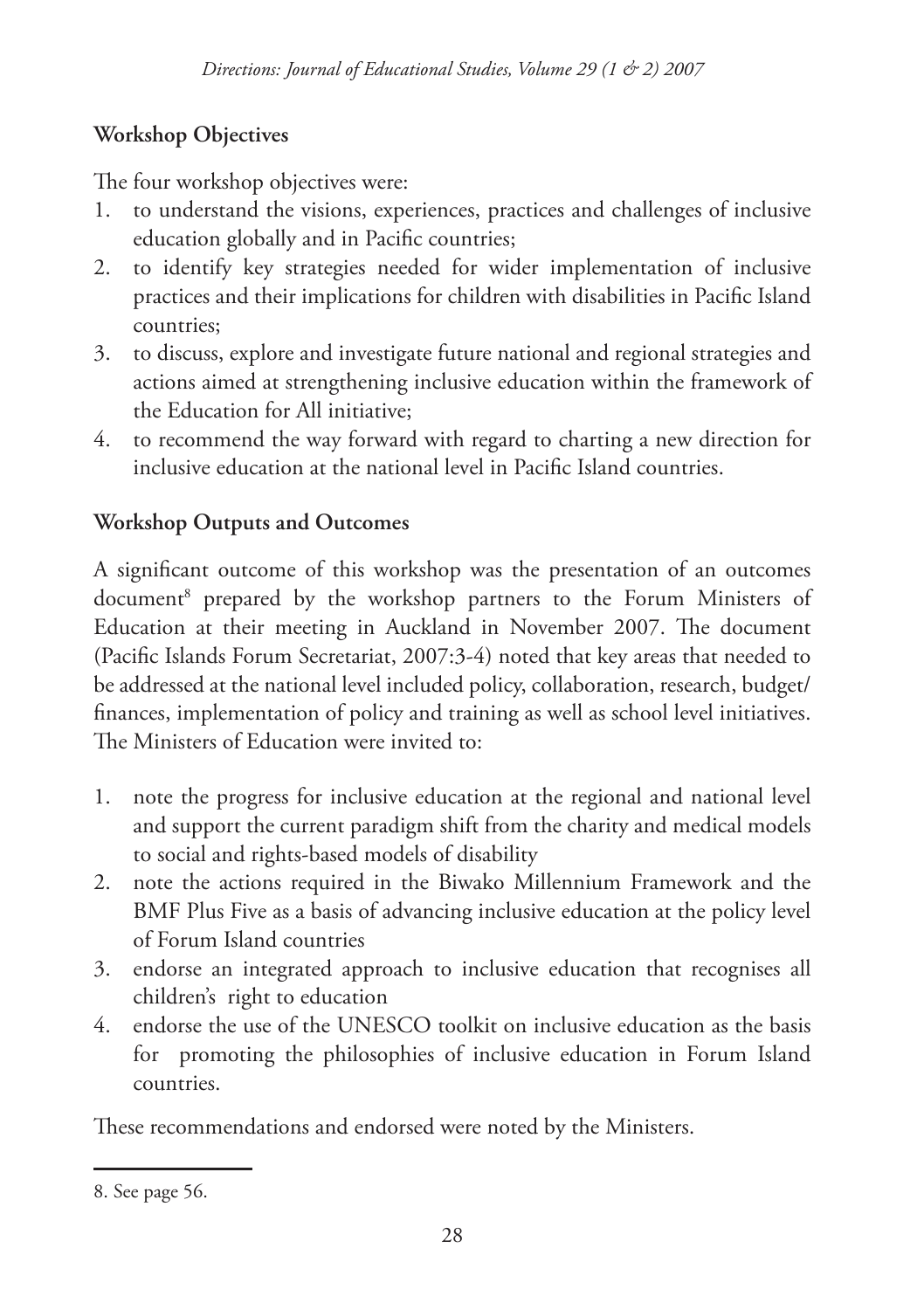# **Workshop Objectives**

The four workshop objectives were:

- to understand the visions, experiences, practices and challenges of inclusive education globally and in Pacific countries; 1.
- to identify key strategies needed for wider implementation of inclusive practices and their implications for children with disabilities in Pacific Island countries;  $2^{2}$
- to discuss, explore and investigate future national and regional strategies and 3. actions aimed at strengthening inclusive education within the framework of the Education for All initiative;
- to recommend the way forward with regard to charting a new direction for 4. inclusive education at the national level in Pacific Island countries.

# **Workshop Outputs and Outcomes**

A significant outcome of this workshop was the presentation of an outcomes document8 prepared by the workshop partners to the Forum Ministers of Education at their meeting in Auckland in November 2007. The document (Pacific Islands Forum Secretariat, 2007:3-4) noted that key areas that needed to be addressed at the national level included policy, collaboration, research, budget/ finances, implementation of policy and training as well as school level initiatives. The Ministers of Education were invited to:

- note the progress for inclusive education at the regional and national level 1. and support the current paradigm shift from the charity and medical models to social and rights-based models of disability
- note the actions required in the Biwako Millennium Framework and the 2. BMF Plus Five as a basis of advancing inclusive education at the policy level of Forum Island countries
- endorse an integrated approach to inclusive education that recognises all 3. children's right to education
- endorse the use of the UNESCO toolkit on inclusive education as the basis 4.for promoting the philosophies of inclusive education in Forum Island countries.

These recommendations and endorsed were noted by the Ministers.

<sup>8.</sup> See page 56.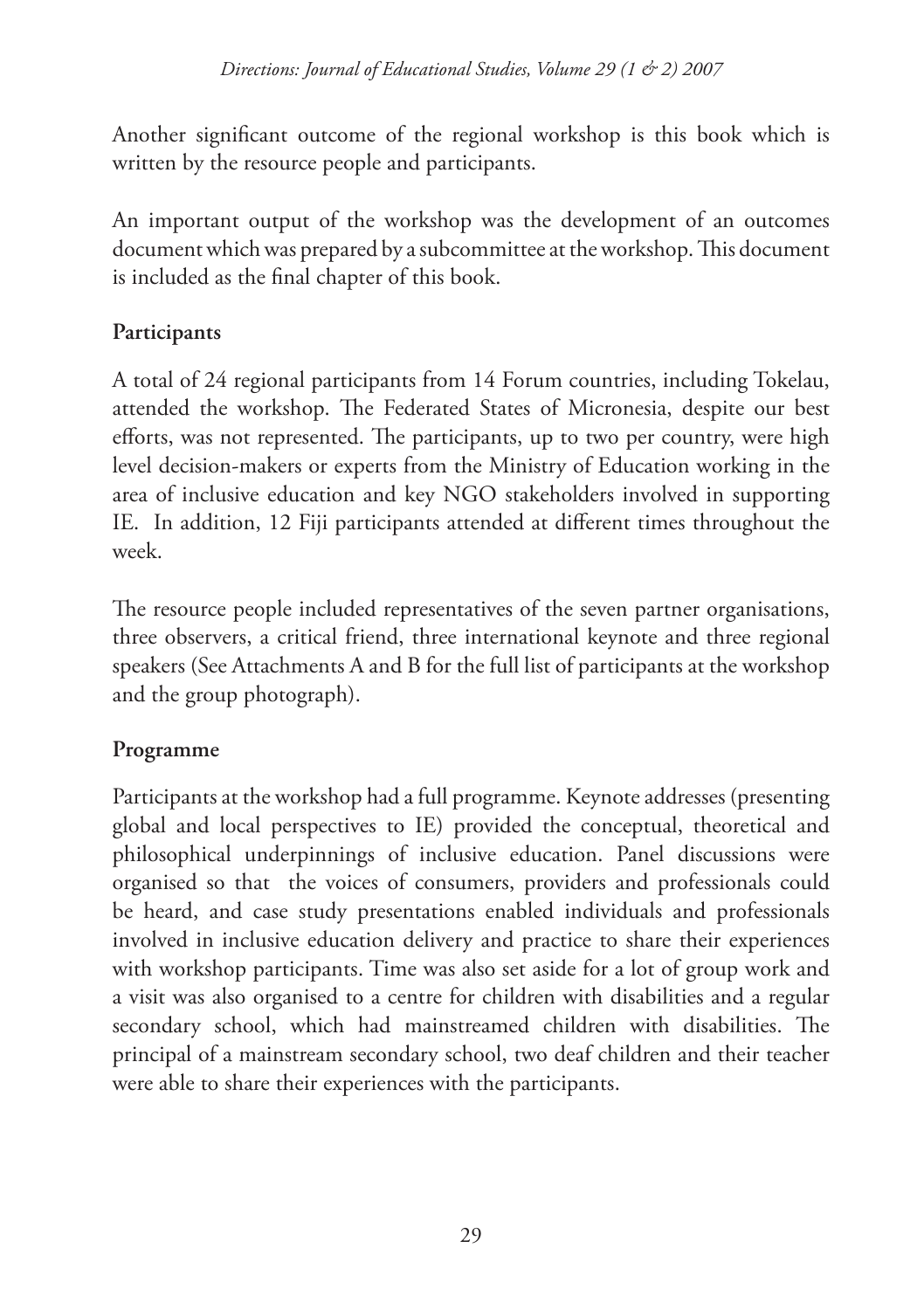Another significant outcome of the regional workshop is this book which is written by the resource people and participants.

An important output of the workshop was the development of an outcomes document which was prepared by a subcommittee at the workshop. This document is included as the final chapter of this book.

# **Participants**

A total of 24 regional participants from 14 Forum countries, including Tokelau, attended the workshop. The Federated States of Micronesia, despite our best efforts, was not represented. The participants, up to two per country, were high level decision-makers or experts from the Ministry of Education working in the area of inclusive education and key NGO stakeholders involved in supporting IE. In addition, 12 Fiji participants attended at different times throughout the week.

The resource people included representatives of the seven partner organisations, three observers, a critical friend, three international keynote and three regional speakers (See Attachments A and B for the full list of participants at the workshop and the group photograph).

# **Programme**

Participants at the workshop had a full programme. Keynote addresses (presenting global and local perspectives to IE) provided the conceptual, theoretical and philosophical underpinnings of inclusive education. Panel discussions were organised so that the voices of consumers, providers and professionals could be heard, and case study presentations enabled individuals and professionals involved in inclusive education delivery and practice to share their experiences with workshop participants. Time was also set aside for a lot of group work and a visit was also organised to a centre for children with disabilities and a regular secondary school, which had mainstreamed children with disabilities. The principal of a mainstream secondary school, two deaf children and their teacher were able to share their experiences with the participants.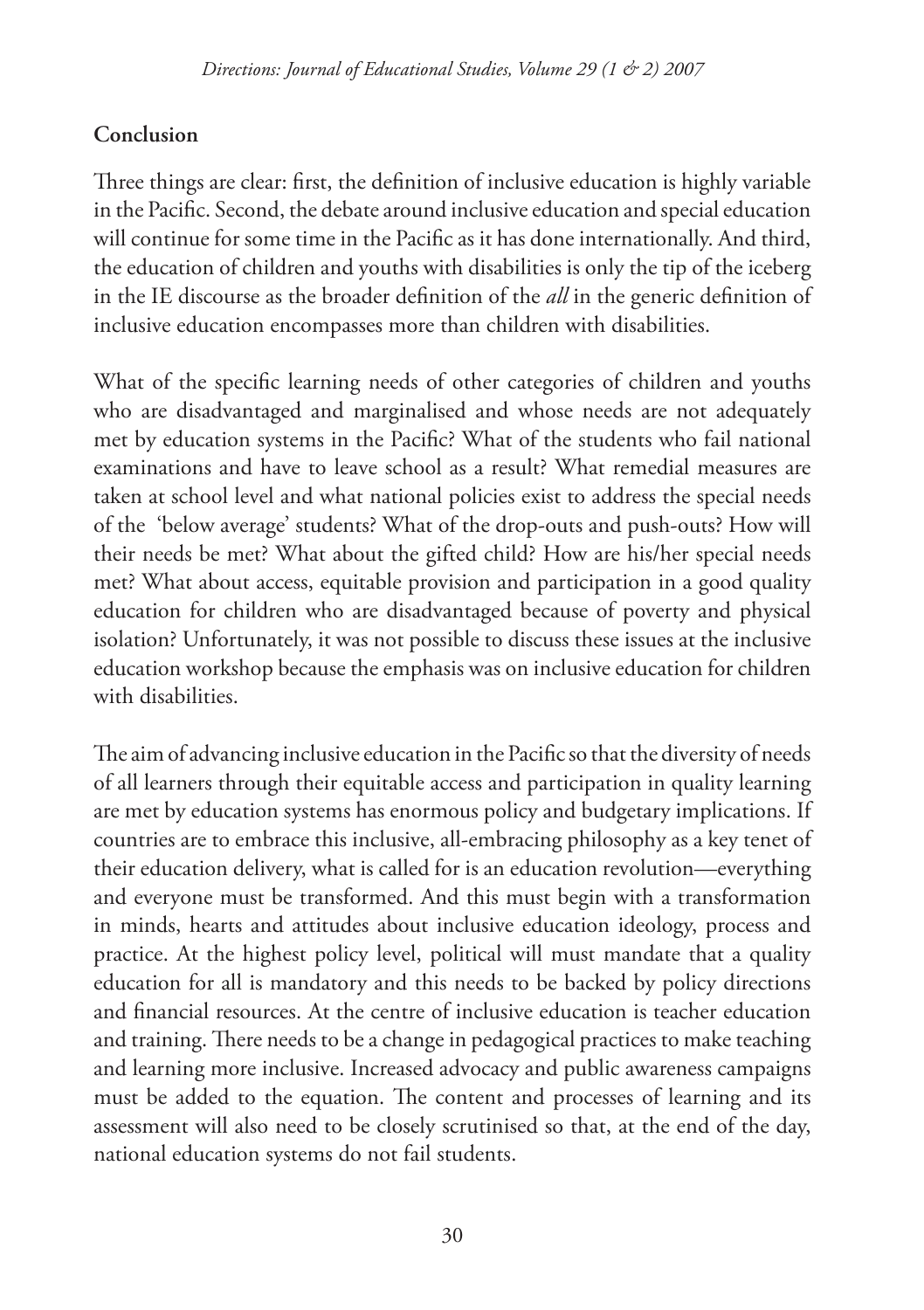## **Conclusion**

Three things are clear: first, the definition of inclusive education is highly variable in the Pacific. Second, the debate around inclusive education and special education will continue for some time in the Pacific as it has done internationally. And third, the education of children and youths with disabilities is only the tip of the iceberg in the IE discourse as the broader definition of the *all* in the generic definition of inclusive education encompasses more than children with disabilities.

What of the specific learning needs of other categories of children and youths who are disadvantaged and marginalised and whose needs are not adequately met by education systems in the Pacific? What of the students who fail national examinations and have to leave school as a result? What remedial measures are taken at school level and what national policies exist to address the special needs of the 'below average' students? What of the drop-outs and push-outs? How will their needs be met? What about the gifted child? How are his/her special needs met? What about access, equitable provision and participation in a good quality education for children who are disadvantaged because of poverty and physical isolation? Unfortunately, it was not possible to discuss these issues at the inclusive education workshop because the emphasis was on inclusive education for children with disabilities.

The aim of advancing inclusive education in the Pacific so that the diversity of needs of all learners through their equitable access and participation in quality learning are met by education systems has enormous policy and budgetary implications. If countries are to embrace this inclusive, all-embracing philosophy as a key tenet of their education delivery, what is called for is an education revolution—everything and everyone must be transformed. And this must begin with a transformation in minds, hearts and attitudes about inclusive education ideology, process and practice. At the highest policy level, political will must mandate that a quality education for all is mandatory and this needs to be backed by policy directions and financial resources. At the centre of inclusive education is teacher education and training. There needs to be a change in pedagogical practices to make teaching and learning more inclusive. Increased advocacy and public awareness campaigns must be added to the equation. The content and processes of learning and its assessment will also need to be closely scrutinised so that, at the end of the day, national education systems do not fail students.